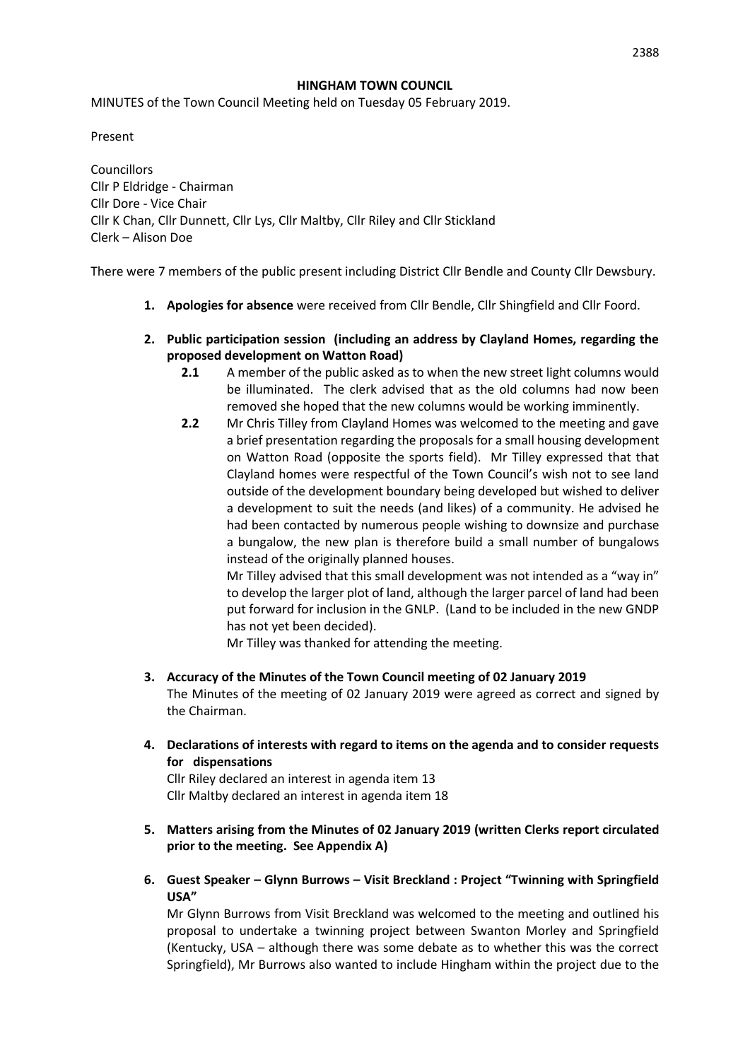#### **HINGHAM TOWN COUNCIL**

MINUTES of the Town Council Meeting held on Tuesday 05 February 2019.

Present

**Councillors** Cllr P Eldridge - Chairman Cllr Dore - Vice Chair Cllr K Chan, Cllr Dunnett, Cllr Lys, Cllr Maltby, Cllr Riley and Cllr Stickland Clerk – Alison Doe

There were 7 members of the public present including District Cllr Bendle and County Cllr Dewsbury.

- **1. Apologies for absence** were received from Cllr Bendle, Cllr Shingfield and Cllr Foord.
- **2. Public participation session (including an address by Clayland Homes, regarding the proposed development on Watton Road)**
	- **2.1** A member of the public asked as to when the new street light columns would be illuminated. The clerk advised that as the old columns had now been removed she hoped that the new columns would be working imminently.
	- **2.2** Mr Chris Tilley from Clayland Homes was welcomed to the meeting and gave a brief presentation regarding the proposals for a small housing development on Watton Road (opposite the sports field). Mr Tilley expressed that that Clayland homes were respectful of the Town Council's wish not to see land outside of the development boundary being developed but wished to deliver a development to suit the needs (and likes) of a community. He advised he had been contacted by numerous people wishing to downsize and purchase a bungalow, the new plan is therefore build a small number of bungalows instead of the originally planned houses.

Mr Tilley advised that this small development was not intended as a "way in" to develop the larger plot of land, although the larger parcel of land had been put forward for inclusion in the GNLP. (Land to be included in the new GNDP has not yet been decided).

Mr Tilley was thanked for attending the meeting.

- **3. Accuracy of the Minutes of the Town Council meeting of 02 January 2019** The Minutes of the meeting of 02 January 2019 were agreed as correct and signed by the Chairman.
- **4. Declarations of interests with regard to items on the agenda and to consider requests for dispensations**

Cllr Riley declared an interest in agenda item 13 Cllr Maltby declared an interest in agenda item 18

- **5. Matters arising from the Minutes of 02 January 2019 (written Clerks report circulated prior to the meeting. See Appendix A)**
- **6. Guest Speaker – Glynn Burrows – Visit Breckland : Project "Twinning with Springfield USA"**

Mr Glynn Burrows from Visit Breckland was welcomed to the meeting and outlined his proposal to undertake a twinning project between Swanton Morley and Springfield (Kentucky, USA – although there was some debate as to whether this was the correct Springfield), Mr Burrows also wanted to include Hingham within the project due to the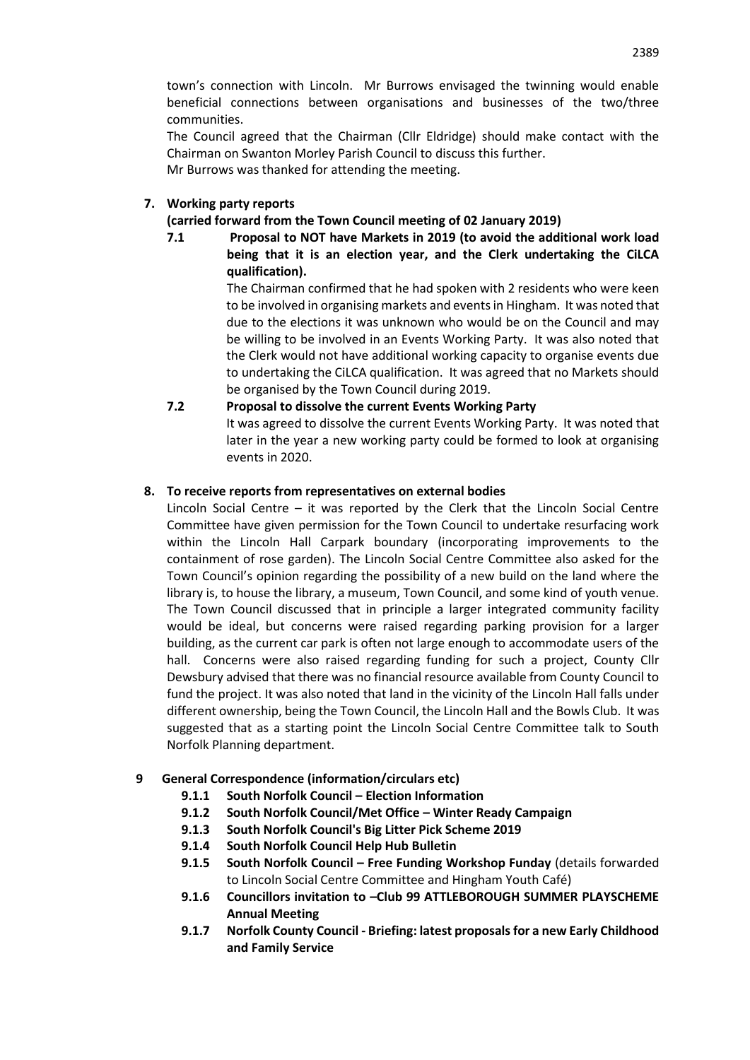town's connection with Lincoln. Mr Burrows envisaged the twinning would enable beneficial connections between organisations and businesses of the two/three communities.

The Council agreed that the Chairman (Cllr Eldridge) should make contact with the Chairman on Swanton Morley Parish Council to discuss this further. Mr Burrows was thanked for attending the meeting.

# **7. Working party reports**

# **(carried forward from the Town Council meeting of 02 January 2019)**

**7.1 Proposal to NOT have Markets in 2019 (to avoid the additional work load being that it is an election year, and the Clerk undertaking the CiLCA qualification).**

> The Chairman confirmed that he had spoken with 2 residents who were keen to be involved in organising markets and events in Hingham. It was noted that due to the elections it was unknown who would be on the Council and may be willing to be involved in an Events Working Party. It was also noted that the Clerk would not have additional working capacity to organise events due to undertaking the CiLCA qualification. It was agreed that no Markets should be organised by the Town Council during 2019.

# **7.2 Proposal to dissolve the current Events Working Party**

It was agreed to dissolve the current Events Working Party. It was noted that later in the year a new working party could be formed to look at organising events in 2020.

## **8. To receive reports from representatives on external bodies**

Lincoln Social Centre – it was reported by the Clerk that the Lincoln Social Centre Committee have given permission for the Town Council to undertake resurfacing work within the Lincoln Hall Carpark boundary (incorporating improvements to the containment of rose garden). The Lincoln Social Centre Committee also asked for the Town Council's opinion regarding the possibility of a new build on the land where the library is, to house the library, a museum, Town Council, and some kind of youth venue. The Town Council discussed that in principle a larger integrated community facility would be ideal, but concerns were raised regarding parking provision for a larger building, as the current car park is often not large enough to accommodate users of the hall. Concerns were also raised regarding funding for such a project, County Cllr Dewsbury advised that there was no financial resource available from County Council to fund the project. It was also noted that land in the vicinity of the Lincoln Hall falls under different ownership, being the Town Council, the Lincoln Hall and the Bowls Club. It was suggested that as a starting point the Lincoln Social Centre Committee talk to South Norfolk Planning department.

# **9 General Correspondence (information/circulars etc)**

- **9.1.1 South Norfolk Council – Election Information**
- **9.1.2 South Norfolk Council/Met Office – Winter Ready Campaign**
- **9.1.3 South Norfolk Council's Big Litter Pick Scheme 2019**
- **9.1.4 South Norfolk Council Help Hub Bulletin**
- **9.1.5 South Norfolk Council – Free Funding Workshop Funday** (details forwarded to Lincoln Social Centre Committee and Hingham Youth Café)
- **9.1.6 Councillors invitation to –Club 99 ATTLEBOROUGH SUMMER PLAYSCHEME Annual Meeting**
- **9.1.7 Norfolk County Council - Briefing: latest proposals for a new Early Childhood and Family Service**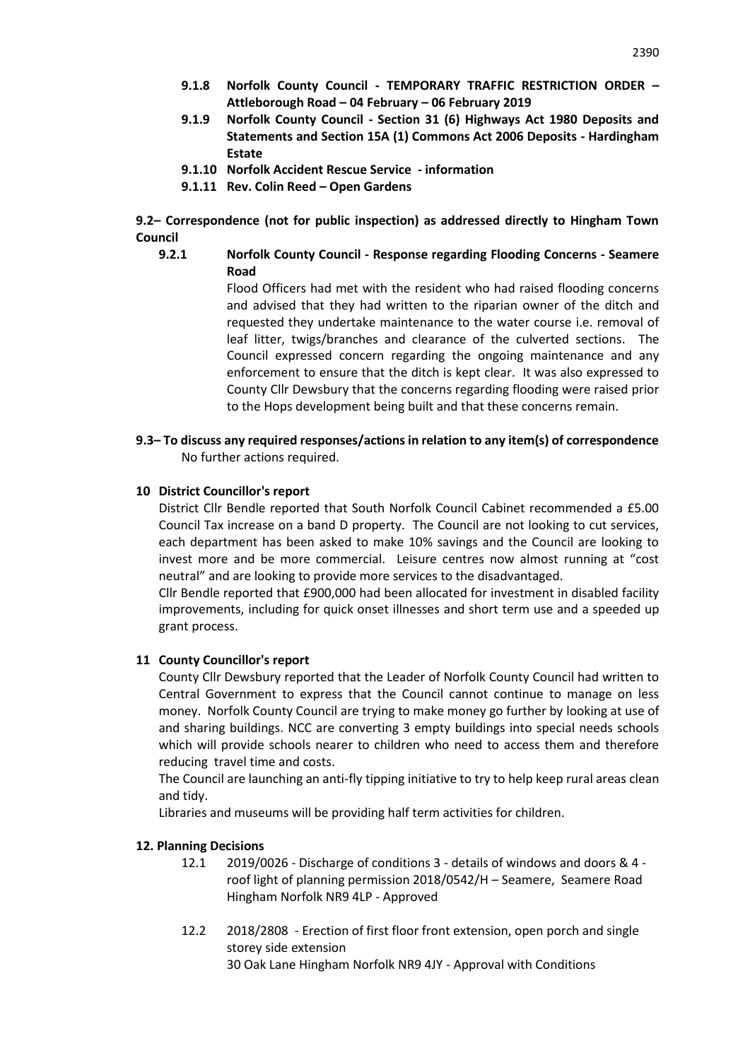- **9.1.8 Norfolk County Council - TEMPORARY TRAFFIC RESTRICTION ORDER – Attleborough Road – 04 February – 06 February 2019**
- **9.1.9 Norfolk County Council - Section 31 (6) Highways Act 1980 Deposits and Statements and Section 15A (1) Commons Act 2006 Deposits - Hardingham Estate**
- **9.1.10 Norfolk Accident Rescue Service - information**
- **9.1.11 Rev. Colin Reed – Open Gardens**

**9.2– Correspondence (not for public inspection) as addressed directly to Hingham Town Council**

**9.2.1 Norfolk County Council - Response regarding Flooding Concerns - Seamere Road**

> Flood Officers had met with the resident who had raised flooding concerns and advised that they had written to the riparian owner of the ditch and requested they undertake maintenance to the water course i.e. removal of leaf litter, twigs/branches and clearance of the culverted sections. The Council expressed concern regarding the ongoing maintenance and any enforcement to ensure that the ditch is kept clear. It was also expressed to County Cllr Dewsbury that the concerns regarding flooding were raised prior to the Hops development being built and that these concerns remain.

**9.3– To discuss any required responses/actions in relation to any item(s) of correspondence**  No further actions required.

## **10 District Councillor's report**

District Cllr Bendle reported that South Norfolk Council Cabinet recommended a £5.00 Council Tax increase on a band D property. The Council are not looking to cut services, each department has been asked to make 10% savings and the Council are looking to invest more and be more commercial. Leisure centres now almost running at "cost neutral" and are looking to provide more services to the disadvantaged.

Cllr Bendle reported that £900,000 had been allocated for investment in disabled facility improvements, including for quick onset illnesses and short term use and a speeded up grant process.

## **11 County Councillor's report**

County Cllr Dewsbury reported that the Leader of Norfolk County Council had written to Central Government to express that the Council cannot continue to manage on less money. Norfolk County Council are trying to make money go further by looking at use of and sharing buildings. NCC are converting 3 empty buildings into special needs schools which will provide schools nearer to children who need to access them and therefore reducing travel time and costs.

The Council are launching an anti-fly tipping initiative to try to help keep rural areas clean and tidy.

Libraries and museums will be providing half term activities for children.

#### **12. Planning Decisions**

- 12.1 2019/0026 Discharge of conditions 3 details of windows and doors & 4 roof light of planning permission 2018/0542/H – Seamere, Seamere Road Hingham Norfolk NR9 4LP - Approved
- 12.2 2018/2808 Erection of first floor front extension, open porch and single storey side extension 30 Oak Lane Hingham Norfolk NR9 4JY - Approval with Conditions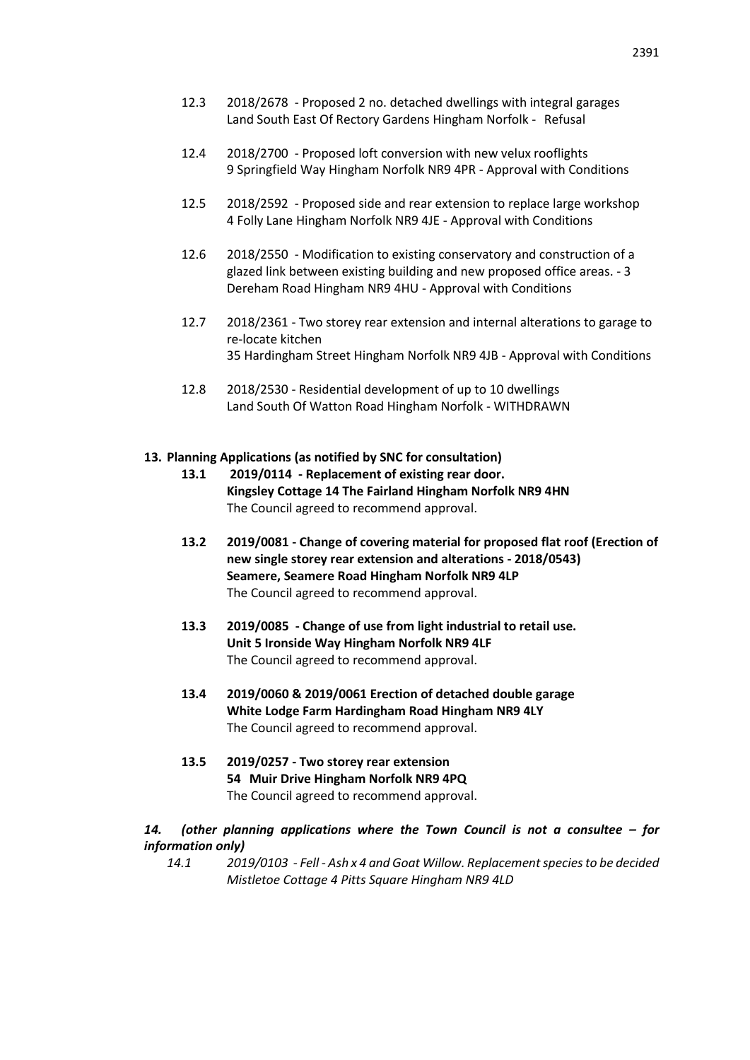- 12.3 2018/2678 Proposed 2 no. detached dwellings with integral garages Land South East Of Rectory Gardens Hingham Norfolk - Refusal
- 12.4 2018/2700 Proposed loft conversion with new velux rooflights 9 Springfield Way Hingham Norfolk NR9 4PR - Approval with Conditions
- 12.5 2018/2592 Proposed side and rear extension to replace large workshop 4 Folly Lane Hingham Norfolk NR9 4JE - Approval with Conditions
- 12.6 2018/2550 Modification to existing conservatory and construction of a glazed link between existing building and new proposed office areas. - 3 Dereham Road Hingham NR9 4HU - Approval with Conditions
- 12.7 2018/2361 Two storey rear extension and internal alterations to garage to re-locate kitchen 35 Hardingham Street Hingham Norfolk NR9 4JB - Approval with Conditions
- 12.8 2018/2530 Residential development of up to 10 dwellings Land South Of Watton Road Hingham Norfolk - WITHDRAWN

## **13. Planning Applications (as notified by SNC for consultation)**

- **13.1 2019/0114 - Replacement of existing rear door. Kingsley Cottage 14 The Fairland Hingham Norfolk NR9 4HN** The Council agreed to recommend approval.
- **13.2 2019/0081 - Change of covering material for proposed flat roof (Erection of new single storey rear extension and alterations - 2018/0543) Seamere, Seamere Road Hingham Norfolk NR9 4LP** The Council agreed to recommend approval.
- **13.3 2019/0085 - Change of use from light industrial to retail use. Unit 5 Ironside Way Hingham Norfolk NR9 4LF** The Council agreed to recommend approval.
- **13.4 2019/0060 & 2019/0061 Erection of detached double garage White Lodge Farm Hardingham Road Hingham NR9 4LY** The Council agreed to recommend approval.
- **13.5 2019/0257 - Two storey rear extension 54 Muir Drive Hingham Norfolk NR9 4PQ**  The Council agreed to recommend approval.

## *14. (other planning applications where the Town Council is not a consultee – for information only)*

*14.1 2019/0103 - Fell - Ash x 4 and Goat Willow. Replacement species to be decided Mistletoe Cottage 4 Pitts Square Hingham NR9 4LD*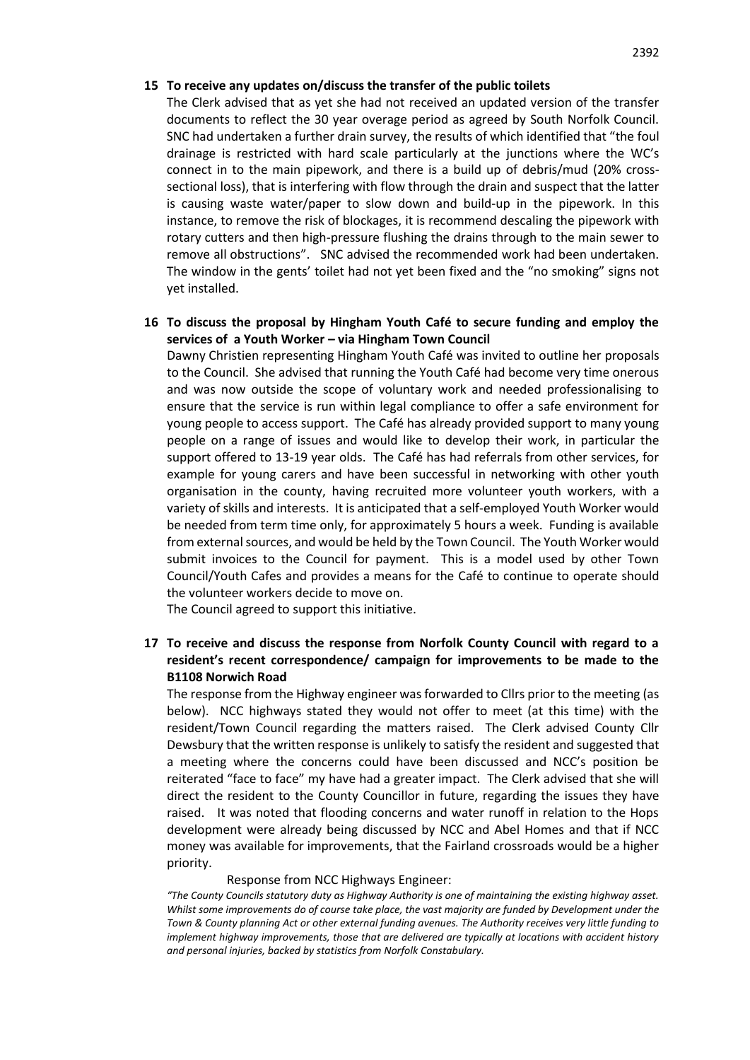#### **15 To receive any updates on/discuss the transfer of the public toilets**

The Clerk advised that as yet she had not received an updated version of the transfer documents to reflect the 30 year overage period as agreed by South Norfolk Council. SNC had undertaken a further drain survey, the results of which identified that "the foul drainage is restricted with hard scale particularly at the junctions where the WC's connect in to the main pipework, and there is a build up of debris/mud (20% crosssectional loss), that is interfering with flow through the drain and suspect that the latter is causing waste water/paper to slow down and build-up in the pipework. In this instance, to remove the risk of blockages, it is recommend descaling the pipework with rotary cutters and then high-pressure flushing the drains through to the main sewer to remove all obstructions". SNC advised the recommended work had been undertaken. The window in the gents' toilet had not yet been fixed and the "no smoking" signs not yet installed.

## **16 To discuss the proposal by Hingham Youth Café to secure funding and employ the services of a Youth Worker – via Hingham Town Council**

Dawny Christien representing Hingham Youth Café was invited to outline her proposals to the Council. She advised that running the Youth Café had become very time onerous and was now outside the scope of voluntary work and needed professionalising to ensure that the service is run within legal compliance to offer a safe environment for young people to access support. The Café has already provided support to many young people on a range of issues and would like to develop their work, in particular the support offered to 13-19 year olds. The Café has had referrals from other services, for example for young carers and have been successful in networking with other youth organisation in the county, having recruited more volunteer youth workers, with a variety of skills and interests. It is anticipated that a self-employed Youth Worker would be needed from term time only, for approximately 5 hours a week. Funding is available from external sources, and would be held by the Town Council. The Youth Worker would submit invoices to the Council for payment. This is a model used by other Town Council/Youth Cafes and provides a means for the Café to continue to operate should the volunteer workers decide to move on.

The Council agreed to support this initiative.

# **17 To receive and discuss the response from Norfolk County Council with regard to a resident's recent correspondence/ campaign for improvements to be made to the B1108 Norwich Road**

The response from the Highway engineer was forwarded to Cllrs prior to the meeting (as below). NCC highways stated they would not offer to meet (at this time) with the resident/Town Council regarding the matters raised. The Clerk advised County Cllr Dewsbury that the written response is unlikely to satisfy the resident and suggested that a meeting where the concerns could have been discussed and NCC's position be reiterated "face to face" my have had a greater impact. The Clerk advised that she will direct the resident to the County Councillor in future, regarding the issues they have raised. It was noted that flooding concerns and water runoff in relation to the Hops development were already being discussed by NCC and Abel Homes and that if NCC money was available for improvements, that the Fairland crossroads would be a higher priority.

#### Response from NCC Highways Engineer:

*"The County Councils statutory duty as Highway Authority is one of maintaining the existing highway asset. Whilst some improvements do of course take place, the vast majority are funded by Development under the Town & County planning Act or other external funding avenues. The Authority receives very little funding to implement highway improvements, those that are delivered are typically at locations with accident history and personal injuries, backed by statistics from Norfolk Constabulary.*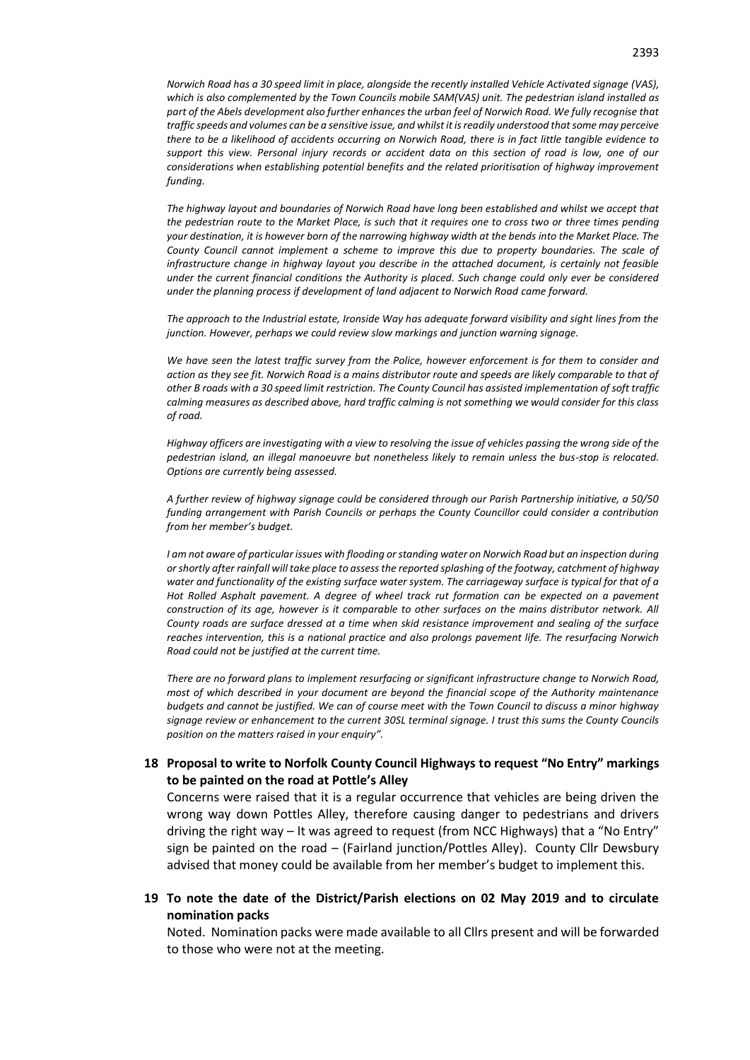*Norwich Road has a 30 speed limit in place, alongside the recently installed Vehicle Activated signage (VAS), which is also complemented by the Town Councils mobile SAM(VAS) unit. The pedestrian island installed as part of the Abels development also further enhances the urban feel of Norwich Road. We fully recognise that traffic speeds and volumes can be a sensitive issue, and whilst it is readily understood that some may perceive there to be a likelihood of accidents occurring on Norwich Road, there is in fact little tangible evidence to support this view. Personal injury records or accident data on this section of road is low, one of our considerations when establishing potential benefits and the related prioritisation of highway improvement funding.*

*The highway layout and boundaries of Norwich Road have long been established and whilst we accept that the pedestrian route to the Market Place, is such that it requires one to cross two or three times pending your destination, it is however born of the narrowing highway width at the bends into the Market Place. The County Council cannot implement a scheme to improve this due to property boundaries. The scale of infrastructure change in highway layout you describe in the attached document, is certainly not feasible under the current financial conditions the Authority is placed. Such change could only ever be considered under the planning process if development of land adjacent to Norwich Road came forward.*

*The approach to the Industrial estate, Ironside Way has adequate forward visibility and sight lines from the junction. However, perhaps we could review slow markings and junction warning signage.*

We have seen the latest traffic survey from the Police, however enforcement is for them to consider and *action as they see fit. Norwich Road is a mains distributor route and speeds are likely comparable to that of other B roads with a 30 speed limit restriction. The County Council has assisted implementation of soft traffic calming measures as described above, hard traffic calming is not something we would consider for this class of road.*

*Highway officers are investigating with a view to resolving the issue of vehicles passing the wrong side of the pedestrian island, an illegal manoeuvre but nonetheless likely to remain unless the bus-stop is relocated. Options are currently being assessed.*

*A further review of highway signage could be considered through our Parish Partnership initiative, a 50/50 funding arrangement with Parish Councils or perhaps the County Councillor could consider a contribution from her member's budget.*

*I am not aware of particular issues with flooding or standing water on Norwich Road but an inspection during or shortly after rainfall will take place to assess the reported splashing of the footway, catchment of highway water and functionality of the existing surface water system. The carriageway surface is typical for that of a Hot Rolled Asphalt pavement. A degree of wheel track rut formation can be expected on a pavement construction of its age, however is it comparable to other surfaces on the mains distributor network. All County roads are surface dressed at a time when skid resistance improvement and sealing of the surface reaches intervention, this is a national practice and also prolongs pavement life. The resurfacing Norwich Road could not be justified at the current time.*

*There are no forward plans to implement resurfacing or significant infrastructure change to Norwich Road, most of which described in your document are beyond the financial scope of the Authority maintenance budgets and cannot be justified. We can of course meet with the Town Council to discuss a minor highway signage review or enhancement to the current 30SL terminal signage. I trust this sums the County Councils position on the matters raised in your enquiry".*

## **18 Proposal to write to Norfolk County Council Highways to request "No Entry" markings to be painted on the road at Pottle's Alley**

Concerns were raised that it is a regular occurrence that vehicles are being driven the wrong way down Pottles Alley, therefore causing danger to pedestrians and drivers driving the right way – It was agreed to request (from NCC Highways) that a "No Entry" sign be painted on the road – (Fairland junction/Pottles Alley). County Cllr Dewsbury advised that money could be available from her member's budget to implement this.

### **19 To note the date of the District/Parish elections on 02 May 2019 and to circulate nomination packs**

Noted. Nomination packs were made available to all Cllrs present and will be forwarded to those who were not at the meeting.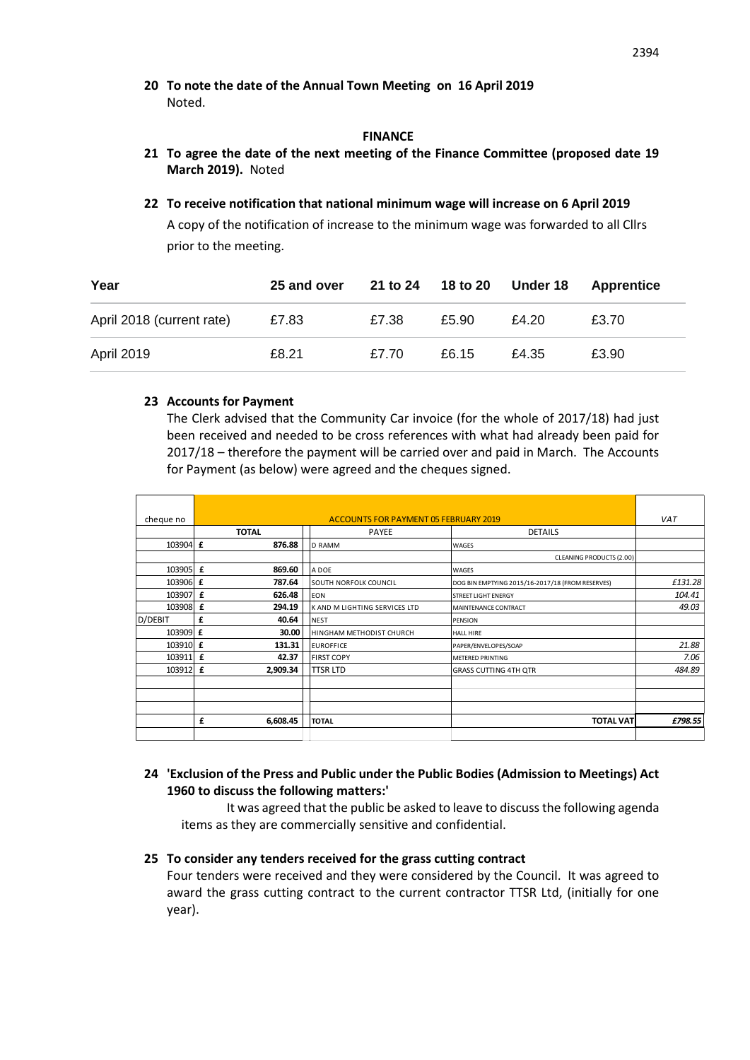**20 To note the date of the Annual Town Meeting on 16 April 2019** Noted.

### **FINANCE**

- **21 To agree the date of the next meeting of the Finance Committee (proposed date 19 March 2019).** Noted
- **22 To receive notification that national minimum wage will increase on 6 April 2019** A copy of the notification of increase to the minimum wage was forwarded to all Cllrs prior to the meeting.

| Year                      | 25 and over |       | 21 to 24 18 to 20 Under 18 |       | Apprentice |
|---------------------------|-------------|-------|----------------------------|-------|------------|
| April 2018 (current rate) | £7.83       | £7.38 | £5.90                      | £4.20 | £3.70      |
| <b>April 2019</b>         | £8.21       | £7.70 | £6.15                      | £4.35 | £3.90      |

## **23 Accounts for Payment**

The Clerk advised that the Community Car invoice (for the whole of 2017/18) had just been received and needed to be cross references with what had already been paid for 2017/18 – therefore the payment will be carried over and paid in March. The Accounts for Payment (as below) were agreed and the cheques signed.

| cheque no | <b>ACCOUNTS FOR PAYMENT 05 FEBRUARY 2019</b> |  |                               |                                                  |         |
|-----------|----------------------------------------------|--|-------------------------------|--------------------------------------------------|---------|
|           | <b>TOTAL</b>                                 |  | PAYEE                         | <b>DETAILS</b>                                   |         |
| 103904 £  | 876.88                                       |  | <b>D RAMM</b>                 | <b>WAGES</b>                                     |         |
|           |                                              |  |                               | CLEANING PRODUCTS (2.00)                         |         |
| 103905 £  | 869.60                                       |  | A DOE                         | <b>WAGES</b>                                     |         |
| 103906 £  | 787.64                                       |  | SOUTH NORFOLK COUNCIL         | DOG BIN EMPTYING 2015/16-2017/18 (FROM RESERVES) | £131.28 |
| 103907 £  | 626.48                                       |  | <b>EON</b>                    | <b>STREET LIGHT ENERGY</b>                       | 104.41  |
| 103908 £  | 294.19                                       |  | K AND M LIGHTING SERVICES LTD | MAINTENANCE CONTRACT                             | 49.03   |
| D/DEBIT   | £<br>40.64                                   |  | <b>NEST</b>                   | <b>PENSION</b>                                   |         |
| 103909 £  | 30.00                                        |  | HINGHAM METHODIST CHURCH      | <b>HALL HIRE</b>                                 |         |
| 103910 f  | 131.31                                       |  | <b>EUROFFICE</b>              | PAPER/ENVELOPES/SOAP                             | 21.88   |
| 103911 £  | 42.37                                        |  | <b>FIRST COPY</b>             | METERED PRINTING                                 | 7.06    |
| 103912 £  | 2,909.34                                     |  | <b>TTSR LTD</b>               | <b>GRASS CUTTING 4TH QTR</b>                     | 484.89  |
|           |                                              |  |                               |                                                  |         |
|           |                                              |  |                               |                                                  |         |
|           |                                              |  |                               |                                                  |         |
|           | £<br>6,608.45                                |  | <b>TOTAL</b>                  | <b>TOTAL VAT</b>                                 | £798.55 |
|           |                                              |  |                               |                                                  |         |

## **24 'Exclusion of the Press and Public under the Public Bodies (Admission to Meetings) Act 1960 to discuss the following matters:'**

It was agreed that the public be asked to leave to discuss the following agenda items as they are commercially sensitive and confidential.

## **25 To consider any tenders received for the grass cutting contract**

Four tenders were received and they were considered by the Council. It was agreed to award the grass cutting contract to the current contractor TTSR Ltd, (initially for one year).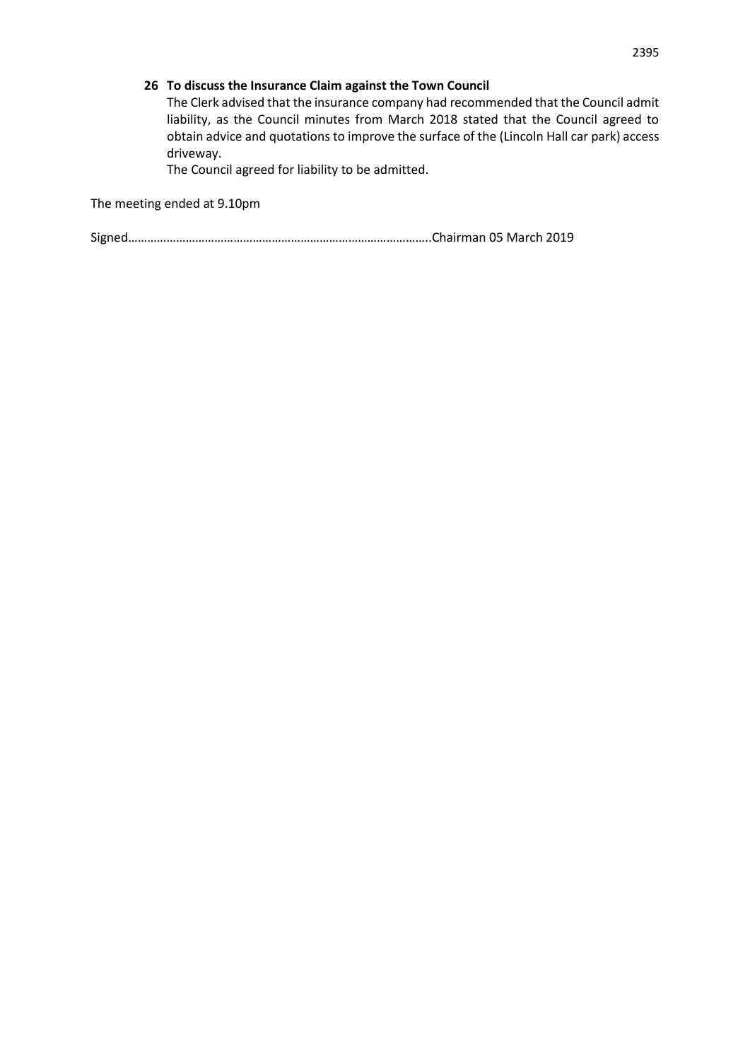## **26 To discuss the Insurance Claim against the Town Council**

The Clerk advised that the insurance company had recommended that the Council admit liability, as the Council minutes from March 2018 stated that the Council agreed to obtain advice and quotations to improve the surface of the (Lincoln Hall car park) access driveway.

The Council agreed for liability to be admitted.

The meeting ended at 9.10pm

Signed…………………………………………………………………………………..Chairman 05 March 2019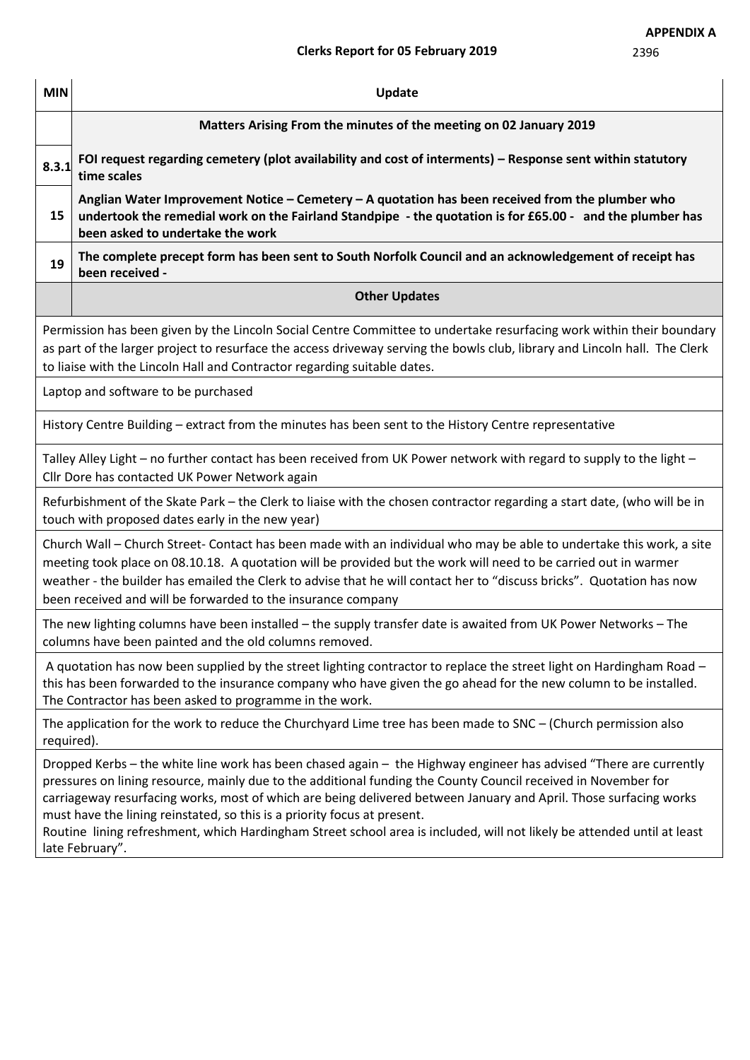| <b>MIN</b>                                                                                                                                                                                                                                                                                                                                                                                                                       | Update                                                                                                                                                                                                                                                                                                                                                                                                                                                                                                                                                                             |  |  |  |  |  |  |
|----------------------------------------------------------------------------------------------------------------------------------------------------------------------------------------------------------------------------------------------------------------------------------------------------------------------------------------------------------------------------------------------------------------------------------|------------------------------------------------------------------------------------------------------------------------------------------------------------------------------------------------------------------------------------------------------------------------------------------------------------------------------------------------------------------------------------------------------------------------------------------------------------------------------------------------------------------------------------------------------------------------------------|--|--|--|--|--|--|
|                                                                                                                                                                                                                                                                                                                                                                                                                                  | Matters Arising From the minutes of the meeting on 02 January 2019                                                                                                                                                                                                                                                                                                                                                                                                                                                                                                                 |  |  |  |  |  |  |
| 8.3.1                                                                                                                                                                                                                                                                                                                                                                                                                            | FOI request regarding cemetery (plot availability and cost of interments) - Response sent within statutory<br>time scales                                                                                                                                                                                                                                                                                                                                                                                                                                                          |  |  |  |  |  |  |
| 15                                                                                                                                                                                                                                                                                                                                                                                                                               | Anglian Water Improvement Notice - Cemetery - A quotation has been received from the plumber who<br>undertook the remedial work on the Fairland Standpipe - the quotation is for £65.00 - and the plumber has<br>been asked to undertake the work                                                                                                                                                                                                                                                                                                                                  |  |  |  |  |  |  |
| 19                                                                                                                                                                                                                                                                                                                                                                                                                               | The complete precept form has been sent to South Norfolk Council and an acknowledgement of receipt has<br>been received -                                                                                                                                                                                                                                                                                                                                                                                                                                                          |  |  |  |  |  |  |
|                                                                                                                                                                                                                                                                                                                                                                                                                                  | <b>Other Updates</b>                                                                                                                                                                                                                                                                                                                                                                                                                                                                                                                                                               |  |  |  |  |  |  |
|                                                                                                                                                                                                                                                                                                                                                                                                                                  | Permission has been given by the Lincoln Social Centre Committee to undertake resurfacing work within their boundary<br>as part of the larger project to resurface the access driveway serving the bowls club, library and Lincoln hall. The Clerk<br>to liaise with the Lincoln Hall and Contractor regarding suitable dates.                                                                                                                                                                                                                                                     |  |  |  |  |  |  |
| Laptop and software to be purchased                                                                                                                                                                                                                                                                                                                                                                                              |                                                                                                                                                                                                                                                                                                                                                                                                                                                                                                                                                                                    |  |  |  |  |  |  |
| History Centre Building – extract from the minutes has been sent to the History Centre representative                                                                                                                                                                                                                                                                                                                            |                                                                                                                                                                                                                                                                                                                                                                                                                                                                                                                                                                                    |  |  |  |  |  |  |
| Talley Alley Light - no further contact has been received from UK Power network with regard to supply to the light -<br>Cllr Dore has contacted UK Power Network again                                                                                                                                                                                                                                                           |                                                                                                                                                                                                                                                                                                                                                                                                                                                                                                                                                                                    |  |  |  |  |  |  |
| Refurbishment of the Skate Park - the Clerk to liaise with the chosen contractor regarding a start date, (who will be in<br>touch with proposed dates early in the new year)                                                                                                                                                                                                                                                     |                                                                                                                                                                                                                                                                                                                                                                                                                                                                                                                                                                                    |  |  |  |  |  |  |
| Church Wall - Church Street- Contact has been made with an individual who may be able to undertake this work, a site<br>meeting took place on 08.10.18. A quotation will be provided but the work will need to be carried out in warmer<br>weather - the builder has emailed the Clerk to advise that he will contact her to "discuss bricks". Quotation has now<br>been received and will be forwarded to the insurance company |                                                                                                                                                                                                                                                                                                                                                                                                                                                                                                                                                                                    |  |  |  |  |  |  |
| The new lighting columns have been installed – the supply transfer date is awaited from UK Power Networks – The<br>columns have been painted and the old columns removed.                                                                                                                                                                                                                                                        |                                                                                                                                                                                                                                                                                                                                                                                                                                                                                                                                                                                    |  |  |  |  |  |  |
| A quotation has now been supplied by the street lighting contractor to replace the street light on Hardingham Road -<br>this has been forwarded to the insurance company who have given the go ahead for the new column to be installed.<br>The Contractor has been asked to programme in the work.                                                                                                                              |                                                                                                                                                                                                                                                                                                                                                                                                                                                                                                                                                                                    |  |  |  |  |  |  |
| The application for the work to reduce the Churchyard Lime tree has been made to SNC - (Church permission also<br>required).                                                                                                                                                                                                                                                                                                     |                                                                                                                                                                                                                                                                                                                                                                                                                                                                                                                                                                                    |  |  |  |  |  |  |
|                                                                                                                                                                                                                                                                                                                                                                                                                                  | Dropped Kerbs - the white line work has been chased again - the Highway engineer has advised "There are currently<br>pressures on lining resource, mainly due to the additional funding the County Council received in November for<br>carriageway resurfacing works, most of which are being delivered between January and April. Those surfacing works<br>must have the lining reinstated, so this is a priority focus at present.<br>Routine lining refreshment, which Hardingham Street school area is included, will not likely be attended until at least<br>late February". |  |  |  |  |  |  |
|                                                                                                                                                                                                                                                                                                                                                                                                                                  |                                                                                                                                                                                                                                                                                                                                                                                                                                                                                                                                                                                    |  |  |  |  |  |  |